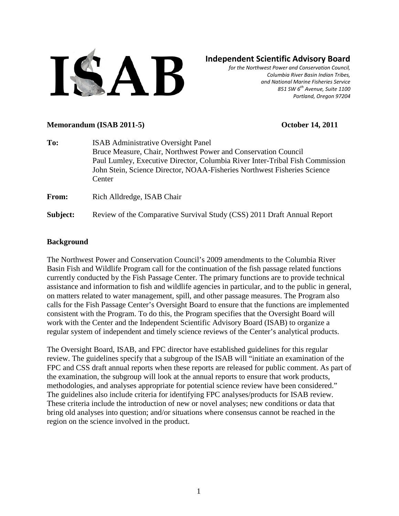

# **Independent Scientific Advisory Board**

*for the Northwest Power and Conservation Council, Columbia River Basin Indian Tribes, and National Marine Fisheries Service 851 SW 6th Avenue, Suite 1100 Portland, Oregon 97204*

#### **Memorandum (ISAB 2011-5) October 14, 2011**

| To:      | <b>ISAB</b> Administrative Oversight Panel<br>Bruce Measure, Chair, Northwest Power and Conservation Council<br>Paul Lumley, Executive Director, Columbia River Inter-Tribal Fish Commission<br>John Stein, Science Director, NOAA-Fisheries Northwest Fisheries Science<br>Center |
|----------|------------------------------------------------------------------------------------------------------------------------------------------------------------------------------------------------------------------------------------------------------------------------------------|
| From:    | Rich Alldredge, ISAB Chair                                                                                                                                                                                                                                                         |
| Subject: | Review of the Comparative Survival Study (CSS) 2011 Draft Annual Report                                                                                                                                                                                                            |

#### **Background**

The Northwest Power and Conservation Council's 2009 amendments to the Columbia River Basin Fish and Wildlife Program call for the continuation of the fish passage related functions currently conducted by the Fish Passage Center. The primary functions are to provide technical assistance and information to fish and wildlife agencies in particular, and to the public in general, on matters related to water management, spill, and other passage measures. The Program also calls for the Fish Passage Center's Oversight Board to ensure that the functions are implemented consistent with the Program. To do this, the Program specifies that the Oversight Board will work with the Center and the Independent Scientific Advisory Board (ISAB) to organize a regular system of independent and timely science reviews of the Center's analytical products.

The Oversight Board, ISAB, and FPC director have established guidelines for this regular review. The guidelines specify that a subgroup of the ISAB will "initiate an examination of the FPC and CSS draft annual reports when these reports are released for public comment. As part of the examination, the subgroup will look at the annual reports to ensure that work products, methodologies, and analyses appropriate for potential science review have been considered." The guidelines also include criteria for identifying FPC analyses/products for ISAB review. These criteria include the introduction of new or novel analyses; new conditions or data that bring old analyses into question; and/or situations where consensus cannot be reached in the region on the science involved in the product.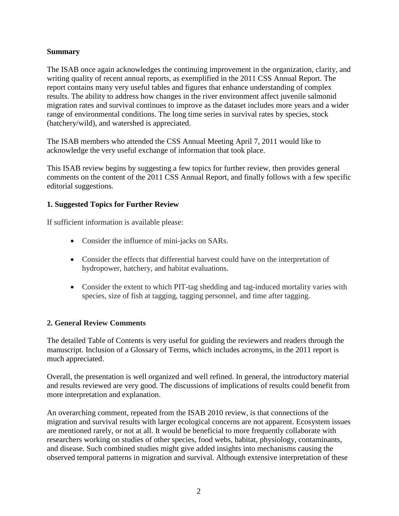#### **Summary**

The ISAB once again acknowledges the continuing improvement in the organization, clarity, and writing quality of recent annual reports, as exemplified in the 2011 CSS Annual Report. The report contains many very useful tables and figures that enhance understanding of complex results. The ability to address how changes in the river environment affect juvenile salmonid migration rates and survival continues to improve as the dataset includes more years and a wider range of environmental conditions. The long time series in survival rates by species, stock (hatchery/wild), and watershed is appreciated.

The ISAB members who attended the CSS Annual Meeting April 7, 2011 would like to acknowledge the very useful exchange of information that took place.

This ISAB review begins by suggesting a few topics for further review, then provides general comments on the content of the 2011 CSS Annual Report, and finally follows with a few specific editorial suggestions.

## **1. Suggested Topics for Further Review**

If sufficient information is available please:

- Consider the influence of mini-jacks on SARs.
- Consider the effects that differential harvest could have on the interpretation of hydropower, hatchery, and habitat evaluations.
- Consider the extent to which PIT-tag shedding and tag-induced mortality varies with species, size of fish at tagging, tagging personnel, and time after tagging.

## **2. General Review Comments**

The detailed Table of Contents is very useful for guiding the reviewers and readers through the manuscript. Inclusion of a Glossary of Terms, which includes acronyms, in the 2011 report is much appreciated.

Overall, the presentation is well organized and well refined. In general, the introductory material and results reviewed are very good. The discussions of implications of results could benefit from more interpretation and explanation.

An overarching comment, repeated from the ISAB 2010 review, is that connections of the migration and survival results with larger ecological concerns are not apparent. Ecosystem issues are mentioned rarely, or not at all. It would be beneficial to more frequently collaborate with researchers working on studies of other species, food webs, habitat, physiology, contaminants, and disease. Such combined studies might give added insights into mechanisms causing the observed temporal patterns in migration and survival. Although extensive interpretation of these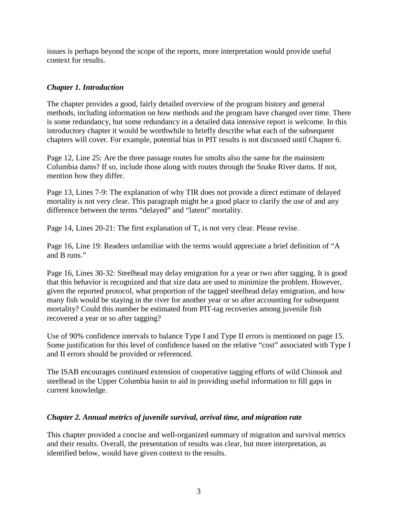issues is perhaps beyond the scope of the reports, more interpretation would provide useful context for results.

### *Chapter 1. Introduction*

The chapter provides a good, fairly detailed overview of the program history and general methods, including information on how methods and the program have changed over time. There is some redundancy, but some redundancy in a detailed data intensive report is welcome. In this introductory chapter it would be worthwhile to briefly describe what each of the subsequent chapters will cover. For example, potential bias in PIT results is not discussed until Chapter 6.

Page 12, Line 25: Are the three passage routes for smolts also the same for the mainstem Columbia dams? If so, include those along with routes through the Snake River dams. If not, mention how they differ.

Page 13, Lines 7-9: The explanation of why TIR does not provide a direct estimate of delayed mortality is not very clear. This paragraph might be a good place to clarify the use of and any difference between the terms "delayed" and "latent" mortality.

Page 14, Lines 20-21: The first explanation of  $T_x$  is not very clear. Please revise.

Page 16, Line 19: Readers unfamiliar with the terms would appreciate a brief definition of "A and B runs."

Page 16, Lines 30-32: Steelhead may delay emigration for a year or two after tagging. It is good that this behavior is recognized and that size data are used to minimize the problem. However, given the reported protocol, what proportion of the tagged steelhead delay emigration, and how many fish would be staying in the river for another year or so after accounting for subsequent mortality? Could this number be estimated from PIT-tag recoveries among juvenile fish recovered a year or so after tagging?

Use of 90% confidence intervals to balance Type I and Type II errors is mentioned on page 15. Some justification for this level of confidence based on the relative "cost" associated with Type I and II errors should be provided or referenced.

The ISAB encourages continued extension of cooperative tagging efforts of wild Chinook and steelhead in the Upper Columbia basin to aid in providing useful information to fill gaps in current knowledge.

#### *Chapter 2. Annual metrics of juvenile survival, arrival time, and migration rate*

This chapter provided a concise and well-organized summary of migration and survival metrics and their results. Overall, the presentation of results was clear, but more interpretation, as identified below, would have given context to the results.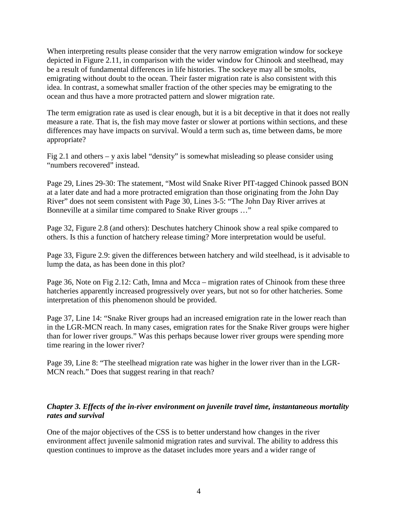When interpreting results please consider that the very narrow emigration window for sockeye depicted in Figure 2.11, in comparison with the wider window for Chinook and steelhead, may be a result of fundamental differences in life histories. The sockeye may all be smolts, emigrating without doubt to the ocean. Their faster migration rate is also consistent with this idea. In contrast, a somewhat smaller fraction of the other species may be emigrating to the ocean and thus have a more protracted pattern and slower migration rate.

The term emigration rate as used is clear enough, but it is a bit deceptive in that it does not really measure a rate. That is, the fish may move faster or slower at portions within sections, and these differences may have impacts on survival. Would a term such as, time between dams, be more appropriate?

Fig 2.1 and others – y axis label "density" is somewhat misleading so please consider using "numbers recovered" instead.

Page 29, Lines 29-30: The statement, "Most wild Snake River PIT-tagged Chinook passed BON at a later date and had a more protracted emigration than those originating from the John Day River" does not seem consistent with Page 30, Lines 3-5: "The John Day River arrives at Bonneville at a similar time compared to Snake River groups …"

Page 32, Figure 2.8 (and others): Deschutes hatchery Chinook show a real spike compared to others. Is this a function of hatchery release timing? More interpretation would be useful.

Page 33, Figure 2.9: given the differences between hatchery and wild steelhead, is it advisable to lump the data, as has been done in this plot?

Page 36, Note on Fig 2.12: Cath, Imna and Mcca – migration rates of Chinook from these three hatcheries apparently increased progressively over years, but not so for other hatcheries. Some interpretation of this phenomenon should be provided.

Page 37, Line 14: "Snake River groups had an increased emigration rate in the lower reach than in the LGR-MCN reach. In many cases, emigration rates for the Snake River groups were higher than for lower river groups." Was this perhaps because lower river groups were spending more time rearing in the lower river?

Page 39, Line 8: "The steelhead migration rate was higher in the lower river than in the LGR-MCN reach." Does that suggest rearing in that reach?

#### *Chapter 3. Effects of the in-river environment on juvenile travel time, instantaneous mortality rates and survival*

One of the major objectives of the CSS is to better understand how changes in the river environment affect juvenile salmonid migration rates and survival. The ability to address this question continues to improve as the dataset includes more years and a wider range of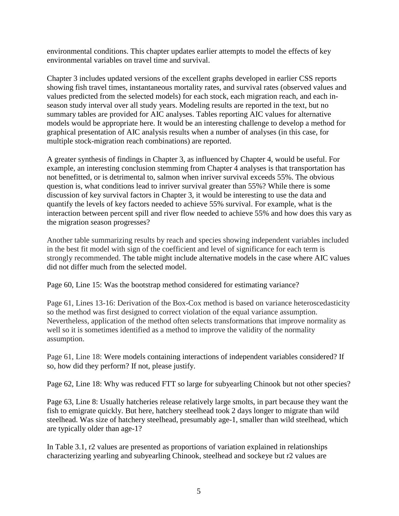environmental conditions. This chapter updates earlier attempts to model the effects of key environmental variables on travel time and survival.

Chapter 3 includes updated versions of the excellent graphs developed in earlier CSS reports showing fish travel times, instantaneous mortality rates, and survival rates (observed values and values predicted from the selected models) for each stock, each migration reach, and each inseason study interval over all study years. Modeling results are reported in the text, but no summary tables are provided for AIC analyses. Tables reporting AIC values for alternative models would be appropriate here. It would be an interesting challenge to develop a method for graphical presentation of AIC analysis results when a number of analyses (in this case, for multiple stock-migration reach combinations) are reported.

A greater synthesis of findings in Chapter 3, as influenced by Chapter 4, would be useful. For example, an interesting conclusion stemming from Chapter 4 analyses is that transportation has not benefitted, or is detrimental to, salmon when inriver survival exceeds 55%. The obvious question is, what conditions lead to inriver survival greater than 55%? While there is some discussion of key survival factors in Chapter 3, it would be interesting to use the data and quantify the levels of key factors needed to achieve 55% survival. For example, what is the interaction between percent spill and river flow needed to achieve 55% and how does this vary as the migration season progresses?

Another table summarizing results by reach and species showing independent variables included in the best fit model with sign of the coefficient and level of significance for each term is strongly recommended. The table might include alternative models in the case where AIC values did not differ much from the selected model.

Page 60, Line 15: Was the bootstrap method considered for estimating variance?

Page 61, Lines 13-16: Derivation of the Box-Cox method is based on variance heteroscedasticity so the method was first designed to correct violation of the equal variance assumption. Nevertheless, application of the method often selects transformations that improve normality as well so it is sometimes identified as a method to improve the validity of the normality assumption.

Page 61, Line 18: Were models containing interactions of independent variables considered? If so, how did they perform? If not, please justify.

Page 62, Line 18: Why was reduced FTT so large for subyearling Chinook but not other species?

Page 63, Line 8: Usually hatcheries release relatively large smolts, in part because they want the fish to emigrate quickly. But here, hatchery steelhead took 2 days longer to migrate than wild steelhead. Was size of hatchery steelhead, presumably age-1, smaller than wild steelhead, which are typically older than age-1?

In Table 3.1, r2 values are presented as proportions of variation explained in relationships characterizing yearling and subyearling Chinook, steelhead and sockeye but r2 values are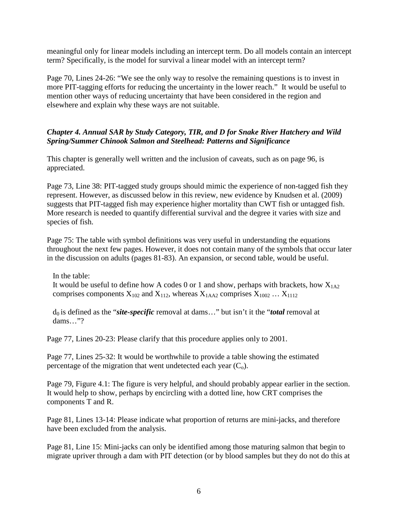meaningful only for linear models including an intercept term. Do all models contain an intercept term? Specifically, is the model for survival a linear model with an intercept term?

Page 70, Lines 24-26: "We see the only way to resolve the remaining questions is to invest in more PIT-tagging efforts for reducing the uncertainty in the lower reach." It would be useful to mention other ways of reducing uncertainty that have been considered in the region and elsewhere and explain why these ways are not suitable.

### *Chapter 4. Annual SAR by Study Category, TIR, and D for Snake River Hatchery and Wild Spring/Summer Chinook Salmon and Steelhead: Patterns and Significance*

This chapter is generally well written and the inclusion of caveats, such as on page 96, is appreciated.

Page 73, Line 38: PIT-tagged study groups should mimic the experience of non-tagged fish they represent. However, as discussed below in this review, new evidence by Knudsen et al. (2009) suggests that PIT-tagged fish may experience higher mortality than CWT fish or untagged fish. More research is needed to quantify differential survival and the degree it varies with size and species of fish.

Page 75: The table with symbol definitions was very useful in understanding the equations throughout the next few pages. However, it does not contain many of the symbols that occur later in the discussion on adults (pages 81-83). An expansion, or second table, would be useful.

In the table: It would be useful to define how A codes 0 or 1 and show, perhaps with brackets, how  $X_{1A2}$ comprises components  $X_{102}$  and  $X_{112}$ , whereas  $X_{1AA2}$  comprises  $X_{1002}$  ...  $X_{1112}$ 

d0 is defined as the "*site-specific* removal at dams…" but isn't it the "*total* removal at dams…"?

Page 77, Lines 20-23: Please clarify that this procedure applies only to 2001.

Page 77, Lines 25-32: It would be worthwhile to provide a table showing the estimated percentage of the migration that went undetected each year  $(C_0)$ .

Page 79, Figure 4.1: The figure is very helpful, and should probably appear earlier in the section. It would help to show, perhaps by encircling with a dotted line, how CRT comprises the components T and R.

Page 81, Lines 13-14: Please indicate what proportion of returns are mini-jacks, and therefore have been excluded from the analysis.

Page 81, Line 15: Mini-jacks can only be identified among those maturing salmon that begin to migrate upriver through a dam with PIT detection (or by blood samples but they do not do this at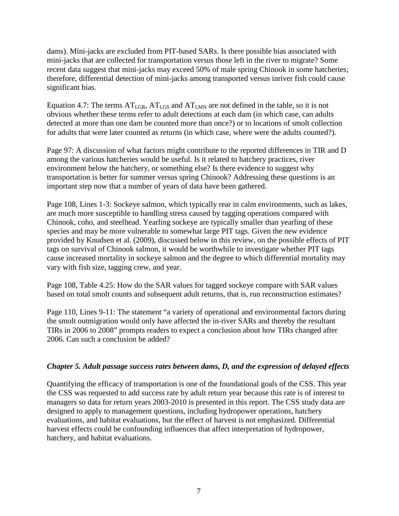dams). Mini-jacks are excluded from PIT-based SARs. Is there possible bias associated with mini-jacks that are collected for transportation versus those left in the river to migrate? Some recent data suggest that mini-jacks may exceed 50% of male spring Chinook in some hatcheries; therefore, differential detection of mini-jacks among transported versus inriver fish could cause significant bias.

Equation 4.7: The terms  $AT<sub>LGR</sub>$ ,  $AT<sub>LGS</sub>$  and  $AT<sub>LMN</sub>$  are not defined in the table, so it is not obvious whether these terms refer to adult detections at each dam (in which case, can adults detected at more than one dam be counted more than once?) or to locations of smolt collection for adults that were later counted as returns (in which case, where were the adults counted?).

Page 97: A discussion of what factors might contribute to the reported differences in TIR and D among the various hatcheries would be useful. Is it related to hatchery practices, river environment below the hatchery, or something else? Is there evidence to suggest why transportation is better for summer versus spring Chinook? Addressing these questions is an important step now that a number of years of data have been gathered.

Page 108, Lines 1-3: Sockeye salmon, which typically rear in calm environments, such as lakes, are much more susceptible to handling stress caused by tagging operations compared with Chinook, coho, and steelhead. Yearling sockeye are typically smaller than yearling of these species and may be more vulnerable to somewhat large PIT tags. Given the new evidence provided by Knudsen et al. (2009), discussed below in this review, on the possible effects of PIT tags on survival of Chinook salmon, it would be worthwhile to investigate whether PIT tags cause increased mortality in sockeye salmon and the degree to which differential mortality may vary with fish size, tagging crew, and year.

Page 108, Table 4.25: How do the SAR values for tagged sockeye compare with SAR values based on total smolt counts and subsequent adult returns, that is, run reconstruction estimates?

Page 110, Lines 9-11: The statement "a variety of operational and environmental factors during the smolt outmigration would only have affected the in-river SARs and thereby the resultant TIRs in 2006 to 2008" prompts readers to expect a conclusion about how TIRs changed after 2006. Can such a conclusion be added?

#### *Chapter 5. Adult passage success rates between dams, D, and the expression of delayed effects*

Quantifying the efficacy of transportation is one of the foundational goals of the CSS. This year the CSS was requested to add success rate by adult return year because this rate is of interest to managers so data for return years 2003-2010 is presented in this report. The CSS study data are designed to apply to management questions, including hydropower operations, hatchery evaluations, and habitat evaluations, but the effect of harvest is not emphasized. Differential harvest effects could be confounding influences that affect interpretation of hydropower, hatchery, and habitat evaluations.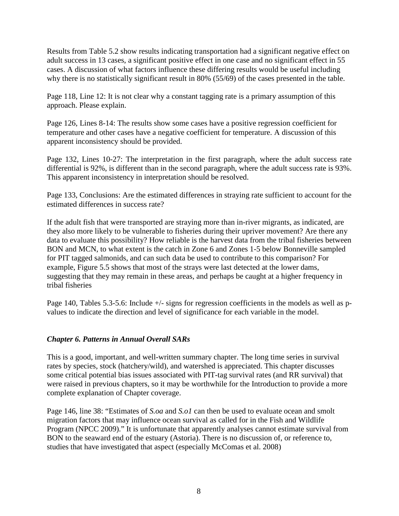Results from Table 5.2 show results indicating transportation had a significant negative effect on adult success in 13 cases, a significant positive effect in one case and no significant effect in 55 cases. A discussion of what factors influence these differing results would be useful including why there is no statistically significant result in 80% (55/69) of the cases presented in the table.

Page 118, Line 12: It is not clear why a constant tagging rate is a primary assumption of this approach. Please explain.

Page 126, Lines 8-14: The results show some cases have a positive regression coefficient for temperature and other cases have a negative coefficient for temperature. A discussion of this apparent inconsistency should be provided.

Page 132, Lines 10-27: The interpretation in the first paragraph, where the adult success rate differential is 92%, is different than in the second paragraph, where the adult success rate is 93%. This apparent inconsistency in interpretation should be resolved.

Page 133, Conclusions: Are the estimated differences in straying rate sufficient to account for the estimated differences in success rate?

If the adult fish that were transported are straying more than in-river migrants, as indicated, are they also more likely to be vulnerable to fisheries during their upriver movement? Are there any data to evaluate this possibility? How reliable is the harvest data from the tribal fisheries between BON and MCN, to what extent is the catch in Zone 6 and Zones 1-5 below Bonneville sampled for PIT tagged salmonids, and can such data be used to contribute to this comparison? For example, Figure 5.5 shows that most of the strays were last detected at the lower dams, suggesting that they may remain in these areas, and perhaps be caught at a higher frequency in tribal fisheries

Page 140, Tables 5.3-5.6: Include  $+\prime$ - signs for regression coefficients in the models as well as pvalues to indicate the direction and level of significance for each variable in the model.

#### *Chapter 6. Patterns in Annual Overall SARs*

This is a good, important, and well-written summary chapter. The long time series in survival rates by species, stock (hatchery/wild), and watershed is appreciated. This chapter discusses some critical potential bias issues associated with PIT-tag survival rates (and RR survival) that were raised in previous chapters, so it may be worthwhile for the Introduction to provide a more complete explanation of Chapter coverage.

Page 146, line 38: "Estimates of *S.oa* and *S.o1* can then be used to evaluate ocean and smolt migration factors that may influence ocean survival as called for in the Fish and Wildlife Program (NPCC 2009)." It is unfortunate that apparently analyses cannot estimate survival from BON to the seaward end of the estuary (Astoria). There is no discussion of, or reference to, studies that have investigated that aspect (especially McComas et al. 2008)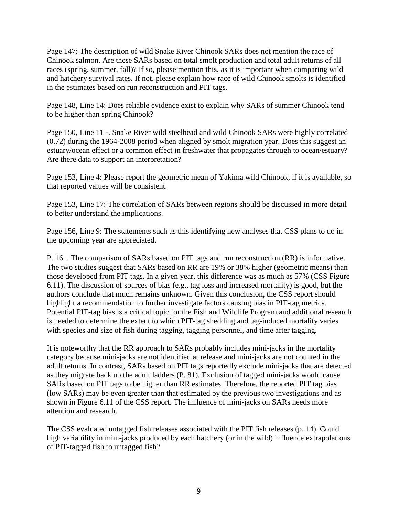Page 147: The description of wild Snake River Chinook SARs does not mention the race of Chinook salmon. Are these SARs based on total smolt production and total adult returns of all races (spring, summer, fall)? If so, please mention this, as it is important when comparing wild and hatchery survival rates. If not, please explain how race of wild Chinook smolts is identified in the estimates based on run reconstruction and PIT tags.

Page 148, Line 14: Does reliable evidence exist to explain why SARs of summer Chinook tend to be higher than spring Chinook?

Page 150, Line 11 -. Snake River wild steelhead and wild Chinook SARs were highly correlated (0.72) during the 1964-2008 period when aligned by smolt migration year. Does this suggest an estuary/ocean effect or a common effect in freshwater that propagates through to ocean/estuary? Are there data to support an interpretation?

Page 153, Line 4: Please report the geometric mean of Yakima wild Chinook, if it is available, so that reported values will be consistent.

Page 153, Line 17: The correlation of SARs between regions should be discussed in more detail to better understand the implications.

Page 156, Line 9: The statements such as this identifying new analyses that CSS plans to do in the upcoming year are appreciated.

P. 161. The comparison of SARs based on PIT tags and run reconstruction (RR) is informative. The two studies suggest that SARs based on RR are 19% or 38% higher (geometric means) than those developed from PIT tags. In a given year, this difference was as much as 57% (CSS Figure 6.11). The discussion of sources of bias (e.g., tag loss and increased mortality) is good, but the authors conclude that much remains unknown. Given this conclusion, the CSS report should highlight a recommendation to further investigate factors causing bias in PIT-tag metrics. Potential PIT-tag bias is a critical topic for the Fish and Wildlife Program and additional research is needed to determine the extent to which PIT-tag shedding and tag-induced mortality varies with species and size of fish during tagging, tagging personnel, and time after tagging.

It is noteworthy that the RR approach to SARs probably includes mini-jacks in the mortality category because mini-jacks are not identified at release and mini-jacks are not counted in the adult returns. In contrast, SARs based on PIT tags reportedly exclude mini-jacks that are detected as they migrate back up the adult ladders (P. 81). Exclusion of tagged mini-jacks would cause SARs based on PIT tags to be higher than RR estimates. Therefore, the reported PIT tag bias (low SARs) may be even greater than that estimated by the previous two investigations and as shown in Figure 6.11 of the CSS report. The influence of mini-jacks on SARs needs more attention and research.

The CSS evaluated untagged fish releases associated with the PIT fish releases (p. 14). Could high variability in mini-jacks produced by each hatchery (or in the wild) influence extrapolations of PIT-tagged fish to untagged fish?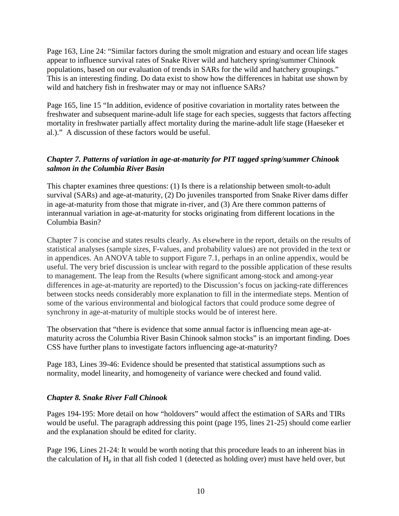Page 163, Line 24: "Similar factors during the smolt migration and estuary and ocean life stages appear to influence survival rates of Snake River wild and hatchery spring/summer Chinook populations, based on our evaluation of trends in SARs for the wild and hatchery groupings." This is an interesting finding. Do data exist to show how the differences in habitat use shown by wild and hatchery fish in freshwater may or may not influence SARs?

Page 165, line 15 "In addition, evidence of positive covariation in mortality rates between the freshwater and subsequent marine-adult life stage for each species, suggests that factors affecting mortality in freshwater partially affect mortality during the marine-adult life stage (Haeseker et al.)." A discussion of these factors would be useful.

## *Chapter 7. Patterns of variation in age-at-maturity for PIT tagged spring/summer Chinook salmon in the Columbia River Basin*

This chapter examines three questions: (1) Is there is a relationship between smolt-to-adult survival (SARs) and age-at-maturity, (2) Do juveniles transported from Snake River dams differ in age-at-maturity from those that migrate in-river, and (3) Are there common patterns of interannual variation in age-at-maturity for stocks originating from different locations in the Columbia Basin?

Chapter 7 is concise and states results clearly. As elsewhere in the report, details on the results of statistical analyses (sample sizes, F-values, and probability values) are not provided in the text or in appendices. An ANOVA table to support Figure 7.1, perhaps in an online appendix, would be useful. The very brief discussion is unclear with regard to the possible application of these results to management. The leap from the Results (where significant among-stock and among-year differences in age-at-maturity are reported) to the Discussion's focus on jacking-rate differences between stocks needs considerably more explanation to fill in the intermediate steps. Mention of some of the various environmental and biological factors that could produce some degree of synchrony in age-at-maturity of multiple stocks would be of interest here.

The observation that "there is evidence that some annual factor is influencing mean age-atmaturity across the Columbia River Basin Chinook salmon stocks" is an important finding. Does CSS have further plans to investigate factors influencing age-at-maturity?

Page 183, Lines 39-46: Evidence should be presented that statistical assumptions such as normality, model linearity, and homogeneity of variance were checked and found valid.

#### *Chapter 8. Snake River Fall Chinook*

Pages 194-195: More detail on how "holdovers" would affect the estimation of SARs and TIRs would be useful. The paragraph addressing this point (page 195, lines 21-25) should come earlier and the explanation should be edited for clarity.

Page 196, Lines 21-24: It would be worth noting that this procedure leads to an inherent bias in the calculation of  $H_p$  in that all fish coded 1 (detected as holding over) must have held over, but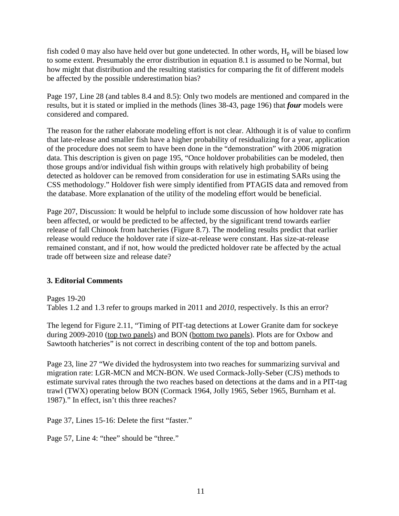fish coded 0 may also have held over but gone undetected. In other words,  $H_p$  will be biased low to some extent. Presumably the error distribution in equation 8.1 is assumed to be Normal, but how might that distribution and the resulting statistics for comparing the fit of different models be affected by the possible underestimation bias?

Page 197, Line 28 (and tables 8.4 and 8.5): Only two models are mentioned and compared in the results, but it is stated or implied in the methods (lines 38-43, page 196) that *four* models were considered and compared.

The reason for the rather elaborate modeling effort is not clear. Although it is of value to confirm that late-release and smaller fish have a higher probability of residualizing for a year, application of the procedure does not seem to have been done in the "demonstration" with 2006 migration data. This description is given on page 195, "Once holdover probabilities can be modeled, then those groups and/or individual fish within groups with relatively high probability of being detected as holdover can be removed from consideration for use in estimating SARs using the CSS methodology." Holdover fish were simply identified from PTAGIS data and removed from the database. More explanation of the utility of the modeling effort would be beneficial.

Page 207, Discussion: It would be helpful to include some discussion of how holdover rate has been affected, or would be predicted to be affected, by the significant trend towards earlier release of fall Chinook from hatcheries (Figure 8.7). The modeling results predict that earlier release would reduce the holdover rate if size-at-release were constant. Has size-at-release remained constant, and if not, how would the predicted holdover rate be affected by the actual trade off between size and release date?

#### **3. Editorial Comments**

Pages 19-20 Tables 1.2 and 1.3 refer to groups marked in 2011 and *2010*, respectively. Is this an error?

The legend for Figure 2.11, "Timing of PIT-tag detections at Lower Granite dam for sockeye during 2009-2010 (top two panels) and BON (bottom two panels). Plots are for Oxbow and Sawtooth hatcheries" is not correct in describing content of the top and bottom panels.

Page 23, line 27 "We divided the hydrosystem into two reaches for summarizing survival and migration rate: LGR-MCN and MCN-BON. We used Cormack-Jolly-Seber (CJS) methods to estimate survival rates through the two reaches based on detections at the dams and in a PIT-tag trawl (TWX) operating below BON (Cormack 1964, Jolly 1965, Seber 1965, Burnham et al. 1987)." In effect, isn't this three reaches?

Page 37, Lines 15-16: Delete the first "faster."

Page 57, Line 4: "thee" should be "three."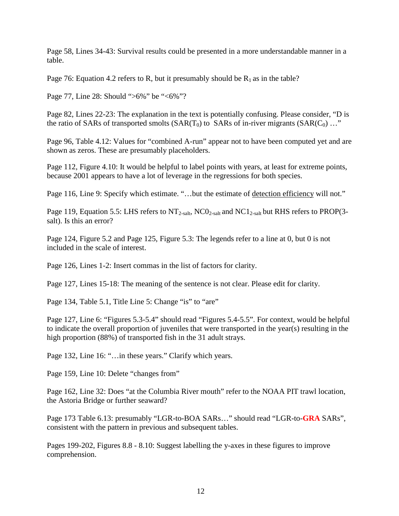Page 58, Lines 34-43: Survival results could be presented in a more understandable manner in a table.

Page 76: Equation 4.2 refers to R, but it presumably should be  $R_1$  as in the table?

Page 77, Line 28: Should ">6%" be "<6%"?

Page 82, Lines 22-23: The explanation in the text is potentially confusing. Please consider, "D is the ratio of SARs of transported smolts  $(SAR(T_0)$  to SARs of in-river migrants  $(SAR(C_0) ...$ "

Page 96, Table 4.12: Values for "combined A-run" appear not to have been computed yet and are shown as zeros. These are presumably placeholders.

Page 112, Figure 4.10: It would be helpful to label points with years, at least for extreme points, because 2001 appears to have a lot of leverage in the regressions for both species.

Page 116, Line 9: Specify which estimate. "...but the estimate of detection efficiency will not."

Page 119, Equation 5.5: LHS refers to  $NT_{2-salt}$ , NCO<sub>2-salt</sub> and NC1<sub>2-salt</sub> but RHS refers to PROP(3salt). Is this an error?

Page 124, Figure 5.2 and Page 125, Figure 5.3: The legends refer to a line at 0, but 0 is not included in the scale of interest.

Page 126, Lines 1-2: Insert commas in the list of factors for clarity.

Page 127, Lines 15-18: The meaning of the sentence is not clear. Please edit for clarity.

Page 134, Table 5.1, Title Line 5: Change "is" to "are"

Page 127, Line 6: "Figures 5.3-5.4" should read "Figures 5.4-5.5". For context, would be helpful to indicate the overall proportion of juveniles that were transported in the year(s) resulting in the high proportion (88%) of transported fish in the 31 adult strays.

Page 132, Line 16: "... in these years." Clarify which years.

Page 159, Line 10: Delete "changes from"

Page 162, Line 32: Does "at the Columbia River mouth" refer to the NOAA PIT trawl location, the Astoria Bridge or further seaward?

Page 173 Table 6.13: presumably "LGR-to-BOA SARs…" should read "LGR-to-**GRA** SARs", consistent with the pattern in previous and subsequent tables.

Pages 199-202, Figures 8.8 - 8.10: Suggest labelling the y-axes in these figures to improve comprehension.